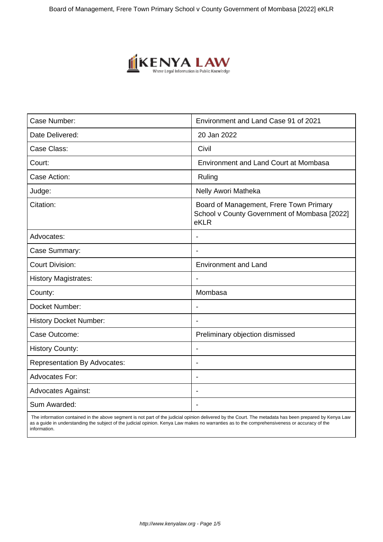

| Case Number:                        | Environment and Land Case 91 of 2021                                                            |
|-------------------------------------|-------------------------------------------------------------------------------------------------|
| Date Delivered:                     | 20 Jan 2022                                                                                     |
| Case Class:                         | Civil                                                                                           |
| Court:                              | <b>Environment and Land Court at Mombasa</b>                                                    |
| Case Action:                        | Ruling                                                                                          |
| Judge:                              | Nelly Awori Matheka                                                                             |
| Citation:                           | Board of Management, Frere Town Primary<br>School v County Government of Mombasa [2022]<br>eKLR |
| Advocates:                          |                                                                                                 |
| Case Summary:                       | $\blacksquare$                                                                                  |
| <b>Court Division:</b>              | <b>Environment and Land</b>                                                                     |
| <b>History Magistrates:</b>         |                                                                                                 |
| County:                             | Mombasa                                                                                         |
| Docket Number:                      | $\blacksquare$                                                                                  |
| <b>History Docket Number:</b>       |                                                                                                 |
| Case Outcome:                       | Preliminary objection dismissed                                                                 |
| <b>History County:</b>              |                                                                                                 |
| <b>Representation By Advocates:</b> | $\blacksquare$                                                                                  |
| <b>Advocates For:</b>               |                                                                                                 |
| <b>Advocates Against:</b>           |                                                                                                 |
| Sum Awarded:                        |                                                                                                 |

 The information contained in the above segment is not part of the judicial opinion delivered by the Court. The metadata has been prepared by Kenya Law as a guide in understanding the subject of the judicial opinion. Kenya Law makes no warranties as to the comprehensiveness or accuracy of the information.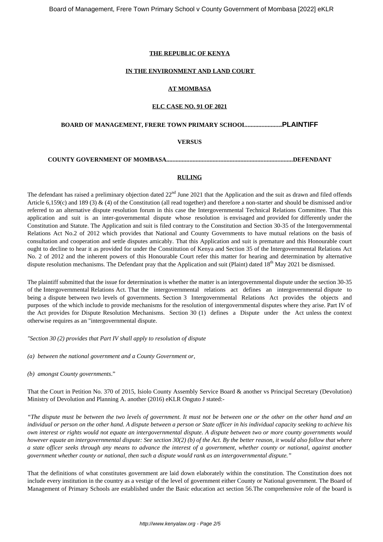## **THE REPUBLIC OF KENYA**

#### **IN THE ENVIRONMENT AND LAND COURT**

### **AT MOMBASA**

#### **ELC CASE NO. 91 OF 2021**

# **BOARD OF MANAGEMENT, FRERE TOWN PRIMARY SCHOOL.......................PLAINTIFF**

### **VERSUS**

**COUNTY GOVERNMENT OF MOMBASA..................................................................................DEFENDANT**

# **RULING**

The defendant has raised a preliminary objection dated  $22<sup>nd</sup>$  June 2021 that the Application and the suit as drawn and filed offends Article 6,159(c) and 189 (3)  $\&$  (4) of the Constitution (all read together) and therefore a non-starter and should be dismissed and/or referred to an alternative dispute resolution forum in this case the Intergovernmental Technical Relations Committee. That this application and suit is an inter-governmental dispute whose resolution is envisaged and provided for differently under the Constitution and Statute. The Application and suit is filed contrary to the Constitution and Section 30-35 of the Intergovernmental Relations Act No.2 of 2012 which provides that National and County Governments to have mutual relations on the basis of consultation and cooperation and settle disputes amicably. That this Application and suit is premature and this Honourable court ought to decline to hear it as provided for under the Constitution of Kenya and Section 35 of the Intergovernmental Relations Act No. 2 of 2012 and the inherent powers of this Honourable Court refer this matter for hearing and determination by alternative dispute resolution mechanisms. The Defendant pray that the Application and suit (Plaint) dated 18<sup>th</sup> May 2021 be dismissed.

The plaintiff submitted that the issue for determination is whether the matter is an intergovernmental dispute under the section 30-35 of the Intergovernmental Relations Act. That the intergovernmental relations act defines an intergovernmental dispute to being a dispute between two levels of governments. Section 3 Intergovernmental Relations Act provides the objects and purposes of the which include to provide mechanisms for the resolution of intergovernmental disputes where they arise. Part IV of the Act provides for Dispute Resolution Mechanisms. Section 30 (1) defines a Dispute under the Act unless the context otherwise requires as an "intergovernmental dispute.

*"Section 30 (2) provides that Part IV shall apply to resolution of dispute*

*(a) between the national government and a County Government or,*

*(b) amongst County governments*."

That the Court in Petition No. 370 of 2015, Isiolo County Assembly Service Board & another vs Principal Secretary (Devolution) Ministry of Devolution and Planning A. another (2016) eKLR Onguto J stated:-

*"The dispute must be between the two levels of government. It must not be between one or the other on the other hand and an individual or person on the other hand. A dispute between a person or State officer in his individual capacity seeking to achieve his own interest or rights would not equate an intergovernmental dispute. A dispute between two or more county governments would however equate an intergovernmental dispute: See section 30(2) (b) of the Act. By the better reason, it would also follow that where a state officer seeks through any means to advance the interest of a government, whether county or national, against another government whether county or national, then such a dispute would rank as an intergovernmental dispute."*

That the definitions of what constitutes government are laid down elaborately within the constitution. The Constitution does not include every institution in the country as a vestige of the level of government either County or National government. The Board of Management of Primary Schools are established under the Basic education act section 56.The comprehensive role of the board is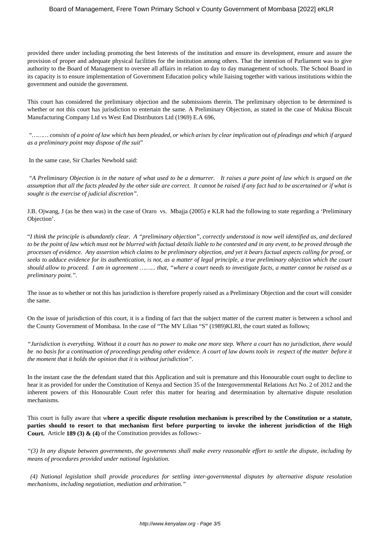provided there under including promoting the best Interests of the institution and ensure its development, ensure and assure the provision of proper and adequate physical facilities for the institution among others. That the intention of Parliament was to give authority to the Board of Management to oversee all affairs in relation to day to day management of schools. The School Board in its capacity is to ensure implementation of Government Education policy while liaising together with various institutions within the government and outside the government.

This court has considered the preliminary objection and the submissions therein. The preliminary objection to be determined is whether or not this court has jurisdiction to entertain the same. A Preliminary Objection, as stated in the case of Mukisa Biscuit Manufacturing Company Ltd vs West End Distributors Ltd (1969) E.A 696,

*"……… consists of a point of law which has been pleaded, or which arises by clear implication out of pleadings and which if argued as a preliminary point may dispose of the suit*"

In the same case, Sir Charles Newbold said:

"*A Preliminary Objection is in the nature of what used to be a demurrer. It raises a pure point of law which is argued on the assumption that all the facts pleaded by the other side are correct. It cannot be raised if any fact had to be ascertained or if what is sought is the exercise of judicial discretion".*

J.B. Ojwang, J (as he then was) in the case of Oraro vs. Mbajja (2005) e KLR had the following to state regarding a 'Preliminary Objection'.

"*I think the principle is abundantly clear. A "preliminary objection", correctly understood is now well identified as, and declared to be the point of law which must not be blurred with factual details liable to be contested and in any event, to be proved through the processes of evidence. Any assertion which claims to be preliminary objection, and yet it bears factual aspects calling for proof, or seeks to adduce evidence for its authentication, is not, as a matter of legal principle, a true preliminary objection which the court should allow to proceed. I am in agreement ……... that, "where a court needs to investigate facts, a matter cannot be raised as a preliminary point.".*

The issue as to whether or not this has jurisdiction is therefore properly raised as a Preliminary Objection and the court will consider the same.

On the issue of jurisdiction of this court, it is a finding of fact that the subject matter of the current matter is between a school and the County Government of Mombasa. In the case of "The MV Lilian "S" (1989)KLRI, the court stated as follows;

*"Jurisdiction is everything. Without it a court has no power to make one more step. Where a court has no jurisdiction, there would be no basis for a continuation of proceedings pending other evidence. A court of law downs tools in respect of the matter before it the moment that it holds the opinion that it is without jurisdiction".*

In the instant case the the defendant stated that this Application and suit is premature and this Honourable court ought to decline to hear it as provided for under the Constitution of Kenya and Section 35 of the Intergovernmental Relations Act No. 2 of 2012 and the inherent powers of this Honourable Court refer this matter for hearing and determination by alternative dispute resolution mechanisms.

This court is fully aware that w**here a specific dispute resolution mechanism is prescribed by the Constitution or a statute, parties should to resort to that mechanism first before purporting to invoke the inherent jurisdiction of the High Court.** Article **189 (3) & (4)** of the Constitution provides as follows:-

*"(3) In any dispute between governments, the governments shall make every reasonable effort to settle the dispute, including by means of procedures provided under national legislation.*

*(4) National legislation shall provide procedures for settling inter-governmental disputes by alternative dispute resolution mechanisms, including negotiation, mediation and arbitration."*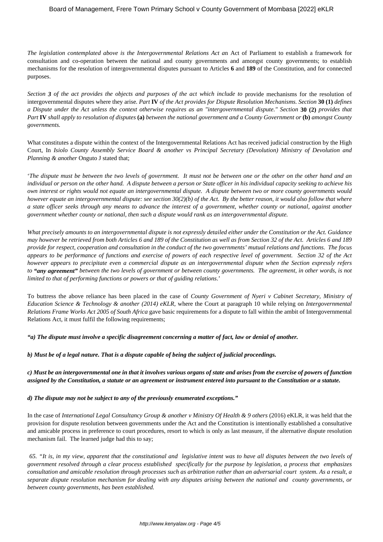*The legislation contemplated above is the Intergovernmental Relations Act a*n Act of Parliament to establish a framework for consultation and co-operation between the national and county governments and amongst county governments; to establish mechanisms for the resolution of intergovernmental disputes pursuant to Articles **6** and **189** of the Constitution, and for connected purposes.

*Section 3 of the act provides the objects and purposes of the act which include to* provide mechanisms for the resolution of intergovernmental disputes where they arise*. Part* **IV** *of the Act provides for Dispute Resolution Mechanisms. Section* **30 (1)** *defines a Dispute under the Act unless the context otherwise requires as an "intergovernmental dispute." Section* **30 (2)** *provides that Part* **IV** *shall apply to resolution of disputes* **(a)** *between the national government and a County Government or* **(b)** *amongst County governments.*

What constitutes a dispute within the context of the Intergovernmental Relations Act has received judicial construction by the High Court**.** In *Isiolo County Assembly Service Board & another vs Principal Secretary (Devolution) Ministry of Devolution and Planning & another* Onguto J stated that;

'*The dispute must be between the two levels of government. It must not be between one or the other on the other hand and an individual or person on the other hand. A dispute between a person or State officer in his individual capacity seeking to achieve his own interest or rights would not equate an intergovernmental dispute. A dispute between two or more county governments would however equate an intergovernmental dispute: see section 30(2)(b) of the Act. By the better reason, it would also follow that where a state officer seeks through any means to advance the interest of a government, whether county or national, against another government whether county or national, then such a dispute would rank as an intergovernmental dispute.*

*What precisely amounts to an intergovernmental dispute is not expressly detailed either under the Constitution or the Act. Guidance may however be retrieved from both Articles 6 and 189 of the Constitution as well as from Section 32 of the Act. Articles 6 and 189 provide for respect, cooperation and consultation in the conduct of the two governments' mutual relations and functions. The focus appears to be performance of functions and exercise of powers of each respective level of government. Section 32 of the Act however appears to precipitate even a commercial dispute as an intergovernmental dispute when the Section expressly refers to "any agreement" between the two levels of government or between county governments. The agreement, in other words, is not limited to that of performing functions or powers or that of guiding relations*.'

To buttress the above reliance has been placed in the case of *County Government of Nyeri v Cabinet Secretary, Ministry of Education Science & Technology & another (2014) eKLR,* where the Court at paragraph 10 while relying on *Intergovernmental Relations Frame Works Act 2005 of South Africa* gave basic requirements for a dispute to fall within the ambit of Intergovernmental Relations Act, it must fulfil the following requirements;

*"a) The dispute must involve a specific disagreement concerning a matter of fact, law or denial of another.*

*b) Must be of a legal nature. That is a dispute capable of being the subject of judicial proceedings.*

*c) Must be an intergovernmental one in that it involves various organs of state and arises from the exercise of powers of function assigned by the Constitution, a statute or an agreement or instrument entered into pursuant to the Constitution or a statute.*

# *d) The dispute may not be subject to any of the previously enumerated exceptions."*

In the case of *International Legal Consultancy Group & another v Ministry Of Health & 9 others* (2016) eKLR, it was held that the provision for dispute resolution between governments under the Act and the Constitution is intentionally established a consultative and amicable process in preference to court procedures, resort to which is only as last measure, if the alternative dispute resolution mechanism fail. The learned judge had this to say;

*65. "It is, in my view, apparent that the constitutional and legislative intent was to have all disputes between the two levels of government resolved through a clear process established specifically for the purpose by legislation, a process that emphasizes consultation and amicable resolution through processes such as arbitration rather than an adversarial court system. As a result, a separate dispute resolution mechanism for dealing with any disputes arising between the national and county governments, or between county governments, has been established.*